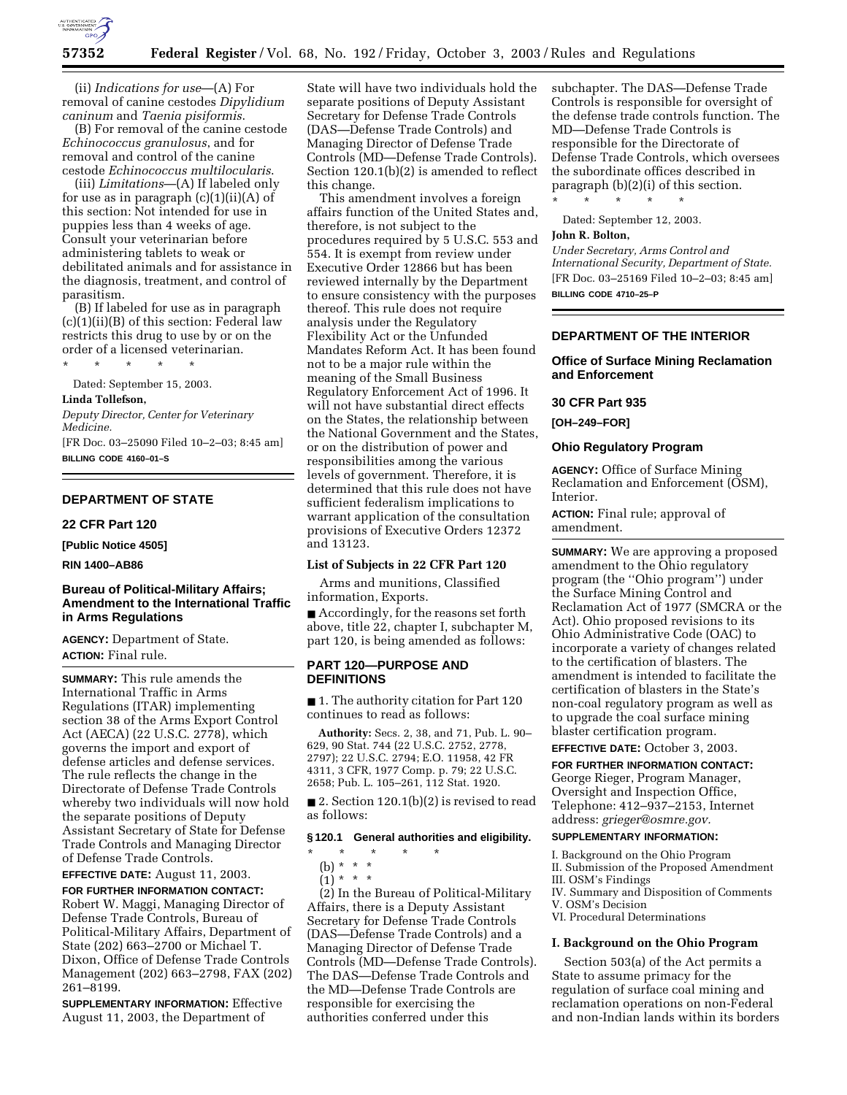

(ii) *Indications for use*—(A) For removal of canine cestodes *Dipylidium caninum* and *Taenia pisiformis*.

(B) For removal of the canine cestode *Echinococcus granulosus*, and for removal and control of the canine cestode *Echinococcus multilocularis*.

(iii) *Limitations*—(A) If labeled only for use as in paragraph  $(c)(1)(ii)(A)$  of this section: Not intended for use in puppies less than 4 weeks of age. Consult your veterinarian before administering tablets to weak or debilitated animals and for assistance in the diagnosis, treatment, and control of parasitism.

(B) If labeled for use as in paragraph  $(c)(1)(ii)(B)$  of this section: Federal law restricts this drug to use by or on the order of a licensed veterinarian. \* \* \* \* \*

Dated: September 15, 2003.

#### **Linda Tollefson,**

*Deputy Director, Center for Veterinary Medicine.*

[FR Doc. 03–25090 Filed 10–2–03; 8:45 am] **BILLING CODE 4160–01–S**

### **DEPARTMENT OF STATE**

**22 CFR Part 120** 

**[Public Notice 4505]** 

**RIN 1400–AB86** 

### **Bureau of Political-Military Affairs; Amendment to the International Traffic in Arms Regulations**

**AGENCY:** Department of State. **ACTION:** Final rule.

**SUMMARY:** This rule amends the International Traffic in Arms Regulations (ITAR) implementing section 38 of the Arms Export Control Act (AECA) (22 U.S.C. 2778), which governs the import and export of defense articles and defense services. The rule reflects the change in the Directorate of Defense Trade Controls whereby two individuals will now hold the separate positions of Deputy Assistant Secretary of State for Defense Trade Controls and Managing Director of Defense Trade Controls.

**EFFECTIVE DATE:** August 11, 2003.

**FOR FURTHER INFORMATION CONTACT:** Robert W. Maggi, Managing Director of Defense Trade Controls, Bureau of Political-Military Affairs, Department of State (202) 663–2700 or Michael T. Dixon, Office of Defense Trade Controls Management (202) 663–2798, FAX (202) 261–8199.

**SUPPLEMENTARY INFORMATION:** Effective August 11, 2003, the Department of

State will have two individuals hold the separate positions of Deputy Assistant Secretary for Defense Trade Controls (DAS—Defense Trade Controls) and Managing Director of Defense Trade Controls (MD—Defense Trade Controls). Section 120.1(b)(2) is amended to reflect this change.

This amendment involves a foreign affairs function of the United States and, therefore, is not subject to the procedures required by 5 U.S.C. 553 and 554. It is exempt from review under Executive Order 12866 but has been reviewed internally by the Department to ensure consistency with the purposes thereof. This rule does not require analysis under the Regulatory Flexibility Act or the Unfunded Mandates Reform Act. It has been found not to be a major rule within the meaning of the Small Business Regulatory Enforcement Act of 1996. It will not have substantial direct effects on the States, the relationship between the National Government and the States, or on the distribution of power and responsibilities among the various levels of government. Therefore, it is determined that this rule does not have sufficient federalism implications to warrant application of the consultation provisions of Executive Orders 12372 and 13123.

### **List of Subjects in 22 CFR Part 120**

Arms and munitions, Classified information, Exports.

■ Accordingly, for the reasons set forth above, title 22, chapter I, subchapter M, part 120, is being amended as follows:

### **PART 120—PURPOSE AND DEFINITIONS**

■ 1. The authority citation for Part 120 continues to read as follows:

**Authority:** Secs. 2, 38, and 71, Pub. L. 90– 629, 90 Stat. 744 (22 U.S.C. 2752, 2778, 2797); 22 U.S.C. 2794; E.O. 11958, 42 FR 4311, 3 CFR, 1977 Comp. p. 79; 22 U.S.C. 2658; Pub. L. 105–261, 112 Stat. 1920.

■ 2. Section 120.1(b)(2) is revised to read as follows:

# **§ 120.1 General authorities and eligibility.**

- \* \* \* \* \*
	- (b) \* \* \*
	- $(1) * * * *$

(2) In the Bureau of Political-Military Affairs, there is a Deputy Assistant Secretary for Defense Trade Controls (DAS—Defense Trade Controls) and a Managing Director of Defense Trade Controls (MD—Defense Trade Controls). The DAS—Defense Trade Controls and the MD—Defense Trade Controls are responsible for exercising the authorities conferred under this

subchapter. The DAS—Defense Trade Controls is responsible for oversight of the defense trade controls function. The MD—Defense Trade Controls is responsible for the Directorate of Defense Trade Controls, which oversees the subordinate offices described in paragraph (b)(2)(i) of this section.

Dated: September 12, 2003.

\* \* \* \* \*

### **John R. Bolton,**

*Under Secretary, Arms Control and International Security, Department of State.* [FR Doc. 03–25169 Filed 10–2–03; 8:45 am] **BILLING CODE 4710–25–P**

## **DEPARTMENT OF THE INTERIOR**

### **Office of Surface Mining Reclamation and Enforcement**

#### **30 CFR Part 935**

### **[OH–249–FOR]**

#### **Ohio Regulatory Program**

**AGENCY:** Office of Surface Mining Reclamation and Enforcement (OSM), Interior.

**ACTION:** Final rule; approval of amendment.

**SUMMARY:** We are approving a proposed amendment to the Ohio regulatory program (the ''Ohio program'') under the Surface Mining Control and Reclamation Act of 1977 (SMCRA or the Act). Ohio proposed revisions to its Ohio Administrative Code (OAC) to incorporate a variety of changes related to the certification of blasters. The amendment is intended to facilitate the certification of blasters in the State's non-coal regulatory program as well as to upgrade the coal surface mining blaster certification program.

**EFFECTIVE DATE:** October 3, 2003.

### **FOR FURTHER INFORMATION CONTACT:**

George Rieger, Program Manager, Oversight and Inspection Office, Telephone: 412–937–2153, Internet address: *grieger@osmre.gov.*

## **SUPPLEMENTARY INFORMATION:**

I. Background on the Ohio Program

- II. Submission of the Proposed Amendment
- III. OSM's Findings
- IV. Summary and Disposition of Comments V. OSM's Decision
- VI. Procedural Determinations

### **I. Background on the Ohio Program**

Section 503(a) of the Act permits a State to assume primacy for the regulation of surface coal mining and reclamation operations on non-Federal and non-Indian lands within its borders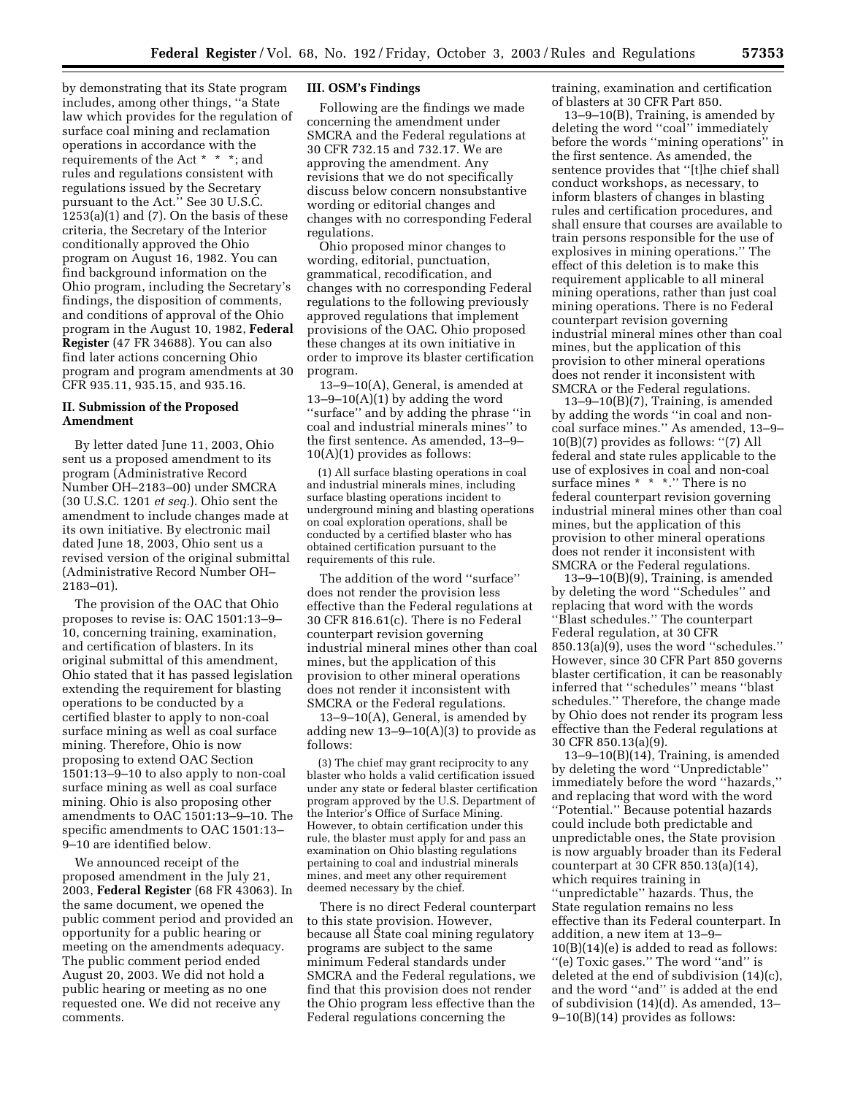by demonstrating that its State program includes, among other things, ''a State law which provides for the regulation of surface coal mining and reclamation operations in accordance with the requirements of the Act \* \* \*; and rules and regulations consistent with regulations issued by the Secretary pursuant to the Act.'' See 30 U.S.C.  $1253(a)(1)$  and  $(7)$ . On the basis of these criteria, the Secretary of the Interior conditionally approved the Ohio program on August 16, 1982. You can find background information on the Ohio program, including the Secretary's findings, the disposition of comments, and conditions of approval of the Ohio program in the August 10, 1982, **Federal Register** (47 FR 34688). You can also find later actions concerning Ohio program and program amendments at 30 CFR 935.11, 935.15, and 935.16.

## **II. Submission of the Proposed Amendment**

By letter dated June 11, 2003, Ohio sent us a proposed amendment to its program (Administrative Record Number OH–2183–00) under SMCRA (30 U.S.C. 1201 *et seq.*). Ohio sent the amendment to include changes made at its own initiative. By electronic mail dated June 18, 2003, Ohio sent us a revised version of the original submittal (Administrative Record Number OH– 2183–01).

The provision of the OAC that Ohio proposes to revise is: OAC 1501:13–9– 10, concerning training, examination, and certification of blasters. In its original submittal of this amendment, Ohio stated that it has passed legislation extending the requirement for blasting operations to be conducted by a certified blaster to apply to non-coal surface mining as well as coal surface mining. Therefore, Ohio is now proposing to extend OAC Section 1501:13–9–10 to also apply to non-coal surface mining as well as coal surface mining. Ohio is also proposing other amendments to OAC 1501:13–9–10. The specific amendments to OAC 1501:13– 9–10 are identified below.

We announced receipt of the proposed amendment in the July 21, 2003, **Federal Register** (68 FR 43063). In the same document, we opened the public comment period and provided an opportunity for a public hearing or meeting on the amendments adequacy. The public comment period ended August 20, 2003. We did not hold a public hearing or meeting as no one requested one. We did not receive any comments.

#### **III. OSM's Findings**

Following are the findings we made concerning the amendment under SMCRA and the Federal regulations at 30 CFR 732.15 and 732.17. We are approving the amendment. Any revisions that we do not specifically discuss below concern nonsubstantive wording or editorial changes and changes with no corresponding Federal regulations.

Ohio proposed minor changes to wording, editorial, punctuation, grammatical, recodification, and changes with no corresponding Federal regulations to the following previously approved regulations that implement provisions of the OAC. Ohio proposed these changes at its own initiative in order to improve its blaster certification program.

13–9–10(A), General, is amended at  $13-9-10(A)(1)$  by adding the word ''surface'' and by adding the phrase ''in coal and industrial minerals mines'' to the first sentence. As amended, 13–9– 10(A)(1) provides as follows:

(1) All surface blasting operations in coal and industrial minerals mines, including surface blasting operations incident to underground mining and blasting operations on coal exploration operations, shall be conducted by a certified blaster who has obtained certification pursuant to the requirements of this rule.

The addition of the word ''surface'' does not render the provision less effective than the Federal regulations at 30 CFR 816.61(c). There is no Federal counterpart revision governing industrial mineral mines other than coal mines, but the application of this provision to other mineral operations does not render it inconsistent with SMCRA or the Federal regulations.

13–9–10(A), General, is amended by adding new  $13-9-10(A)(3)$  to provide as follows:

(3) The chief may grant reciprocity to any blaster who holds a valid certification issued under any state or federal blaster certification program approved by the U.S. Department of the Interior's Office of Surface Mining. However, to obtain certification under this rule, the blaster must apply for and pass an examination on Ohio blasting regulations pertaining to coal and industrial minerals mines, and meet any other requirement deemed necessary by the chief.

There is no direct Federal counterpart to this state provision. However, because all State coal mining regulatory programs are subject to the same minimum Federal standards under SMCRA and the Federal regulations, we find that this provision does not render the Ohio program less effective than the Federal regulations concerning the

training, examination and certification of blasters at 30 CFR Part 850.

13–9–10(B), Training, is amended by deleting the word "coal" immediately before the words ''mining operations'' in the first sentence. As amended, the sentence provides that ''[t]he chief shall conduct workshops, as necessary, to inform blasters of changes in blasting rules and certification procedures, and shall ensure that courses are available to train persons responsible for the use of explosives in mining operations.'' The effect of this deletion is to make this requirement applicable to all mineral mining operations, rather than just coal mining operations. There is no Federal counterpart revision governing industrial mineral mines other than coal mines, but the application of this provision to other mineral operations does not render it inconsistent with SMCRA or the Federal regulations.

 $13-9-10(B)(7)$ , Training, is amended by adding the words ''in coal and noncoal surface mines.'' As amended, 13–9– 10(B)(7) provides as follows: ''(7) All federal and state rules applicable to the use of explosives in coal and non-coal surface mines \* \* \*.'' There is no federal counterpart revision governing industrial mineral mines other than coal mines, but the application of this provision to other mineral operations does not render it inconsistent with SMCRA or the Federal regulations.

13–9–10(B)(9), Training, is amended by deleting the word ''Schedules'' and replacing that word with the words ''Blast schedules.'' The counterpart Federal regulation, at 30 CFR 850.13(a)(9), uses the word ''schedules.'' However, since 30 CFR Part 850 governs blaster certification, it can be reasonably inferred that ''schedules'' means ''blast schedules.'' Therefore, the change made by Ohio does not render its program less effective than the Federal regulations at 30 CFR 850.13(a)(9).

 $13-9-10(B)(14)$ , Training, is amended by deleting the word ''Unpredictable'' immediately before the word ''hazards,'' and replacing that word with the word ''Potential.'' Because potential hazards could include both predictable and unpredictable ones, the State provision is now arguably broader than its Federal counterpart at 30 CFR 850.13(a)(14), which requires training in ''unpredictable'' hazards. Thus, the State regulation remains no less effective than its Federal counterpart. In addition, a new item at 13–9– 10(B)(14)(e) is added to read as follows:

''(e) Toxic gases.'' The word ''and'' is deleted at the end of subdivision (14)(c), and the word ''and'' is added at the end of subdivision (14)(d). As amended, 13– 9–10(B)(14) provides as follows: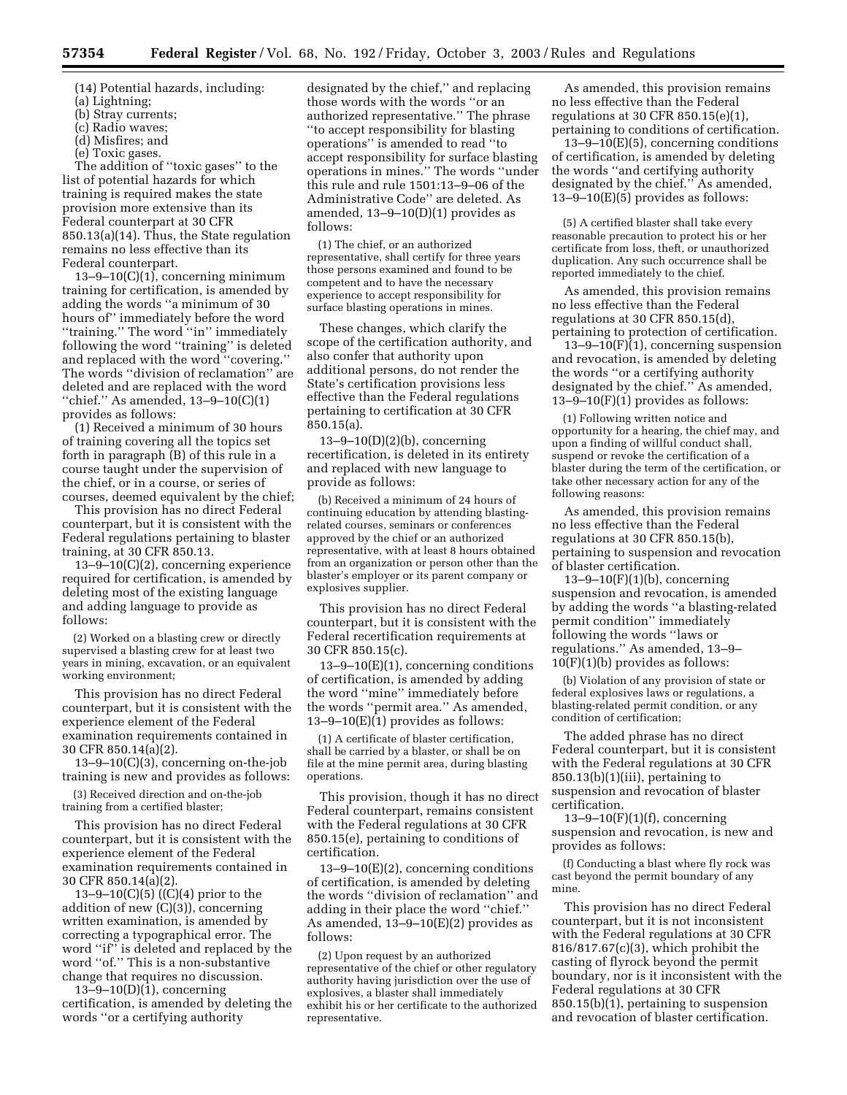(14) Potential hazards, including:

- (a) Lightning;
- (b) Stray currents;
- (c) Radio waves;
- (d) Misfires; and

(e) Toxic gases.

The addition of ''toxic gases'' to the list of potential hazards for which training is required makes the state provision more extensive than its Federal counterpart at 30 CFR 850.13(a)(14). Thus, the State regulation remains no less effective than its Federal counterpart.

13–9–10(C)(1), concerning minimum training for certification, is amended by adding the words ''a minimum of 30 hours of'' immediately before the word ''training.'' The word ''in'' immediately following the word ''training'' is deleted and replaced with the word ''covering.'' The words ''division of reclamation'' are deleted and are replaced with the word ''chief.'' As amended, 13–9–10(C)(1) provides as follows:

(1) Received a minimum of 30 hours of training covering all the topics set forth in paragraph (B) of this rule in a course taught under the supervision of the chief, or in a course, or series of courses, deemed equivalent by the chief;

This provision has no direct Federal counterpart, but it is consistent with the Federal regulations pertaining to blaster training, at 30 CFR 850.13.

13–9–10(C)(2), concerning experience required for certification, is amended by deleting most of the existing language and adding language to provide as follows:

(2) Worked on a blasting crew or directly supervised a blasting crew for at least two years in mining, excavation, or an equivalent working environment;

This provision has no direct Federal counterpart, but it is consistent with the experience element of the Federal examination requirements contained in 30 CFR 850.14(a)(2).

13–9–10(C)(3), concerning on-the-job training is new and provides as follows:

(3) Received direction and on-the-job training from a certified blaster;

This provision has no direct Federal counterpart, but it is consistent with the experience element of the Federal examination requirements contained in 30 CFR 850.14(a)(2).

13–9–10(C)(5) ((C)(4) prior to the addition of new (C)(3)), concerning written examination, is amended by correcting a typographical error. The word ''if'' is deleted and replaced by the word ''of.'' This is a non-substantive change that requires no discussion.

13–9–10(D)(1), concerning certification, is amended by deleting the words ''or a certifying authority

designated by the chief,'' and replacing those words with the words ''or an authorized representative.'' The phrase ''to accept responsibility for blasting operations'' is amended to read ''to accept responsibility for surface blasting operations in mines.'' The words ''under this rule and rule 1501:13–9–06 of the Administrative Code'' are deleted. As amended, 13–9–10(D)(1) provides as follows:

(1) The chief, or an authorized representative, shall certify for three years those persons examined and found to be competent and to have the necessary experience to accept responsibility for surface blasting operations in mines.

These changes, which clarify the scope of the certification authority, and also confer that authority upon additional persons, do not render the State's certification provisions less effective than the Federal regulations pertaining to certification at 30 CFR 850.15(a).

 $13 - 9 - 10(D)(2)(b)$ , concerning recertification, is deleted in its entirety and replaced with new language to provide as follows:

(b) Received a minimum of 24 hours of continuing education by attending blastingrelated courses, seminars or conferences approved by the chief or an authorized representative, with at least 8 hours obtained from an organization or person other than the blaster's employer or its parent company or explosives supplier.

This provision has no direct Federal counterpart, but it is consistent with the Federal recertification requirements at 30 CFR 850.15(c).

 $13-9-10(E)(1)$ , concerning conditions of certification, is amended by adding the word ''mine'' immediately before the words ''permit area.'' As amended,  $13-9-10(E)(1)$  provides as follows:

(1) A certificate of blaster certification, shall be carried by a blaster, or shall be on file at the mine permit area, during blasting operations.

This provision, though it has no direct Federal counterpart, remains consistent with the Federal regulations at 30 CFR 850.15(e), pertaining to conditions of certification.

13–9–10(E)(2), concerning conditions of certification, is amended by deleting the words ''division of reclamation'' and adding in their place the word ''chief.'' As amended,  $13-9-10(E)(2)$  provides as follows:

(2) Upon request by an authorized representative of the chief or other regulatory authority having jurisdiction over the use of explosives, a blaster shall immediately exhibit his or her certificate to the authorized representative.

As amended, this provision remains no less effective than the Federal regulations at 30 CFR 850.15(e)(1), pertaining to conditions of certification.

 $13-9-10(E)(5)$ , concerning conditions of certification, is amended by deleting the words ''and certifying authority designated by the chief.'' As amended, 13–9–10(E)(5) provides as follows:

(5) A certified blaster shall take every reasonable precaution to protect his or her certificate from loss, theft, or unauthorized duplication. Any such occurrence shall be reported immediately to the chief.

As amended, this provision remains no less effective than the Federal regulations at 30 CFR 850.15(d), pertaining to protection of certification.

 $13-9-10(F)(1)$ , concerning suspension and revocation, is amended by deleting the words ''or a certifying authority designated by the chief.'' As amended,  $13-9-10(F)(1)$  provides as follows:

(1) Following written notice and opportunity for a hearing, the chief may, and upon a finding of willful conduct shall, suspend or revoke the certification of a blaster during the term of the certification, or take other necessary action for any of the following reasons:

As amended, this provision remains no less effective than the Federal regulations at 30 CFR 850.15(b), pertaining to suspension and revocation of blaster certification.

 $13-9-10(F)(1)(b)$ , concerning suspension and revocation, is amended by adding the words ''a blasting-related permit condition'' immediately following the words ''laws or regulations.'' As amended, 13–9– 10(F)(1)(b) provides as follows:

(b) Violation of any provision of state or federal explosives laws or regulations, a blasting-related permit condition, or any condition of certification;

The added phrase has no direct Federal counterpart, but it is consistent with the Federal regulations at 30 CFR  $850.13(b)(1)(iii)$ , pertaining to suspension and revocation of blaster certification.

 $13 - 9 - 10(F)(1)(f)$ , concerning suspension and revocation, is new and provides as follows:

(f) Conducting a blast where fly rock was cast beyond the permit boundary of any mine.

This provision has no direct Federal counterpart, but it is not inconsistent with the Federal regulations at 30 CFR 816/817.67(c)(3), which prohibit the casting of flyrock beyond the permit boundary, nor is it inconsistent with the Federal regulations at 30 CFR 850.15(b)(1), pertaining to suspension and revocation of blaster certification.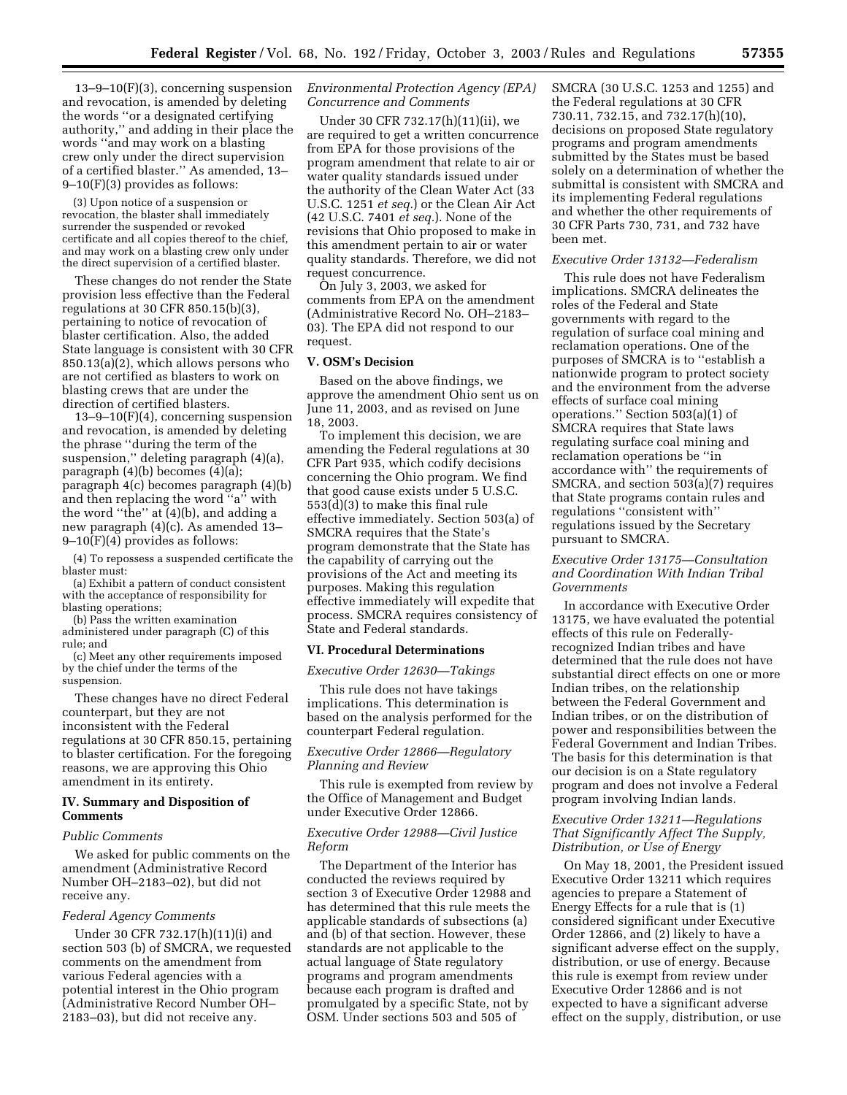13–9–10(F)(3), concerning suspension and revocation, is amended by deleting the words ''or a designated certifying authority,'' and adding in their place the words ''and may work on a blasting crew only under the direct supervision of a certified blaster.'' As amended, 13– 9–10(F)(3) provides as follows:

(3) Upon notice of a suspension or revocation, the blaster shall immediately surrender the suspended or revoked certificate and all copies thereof to the chief, and may work on a blasting crew only under the direct supervision of a certified blaster.

These changes do not render the State provision less effective than the Federal regulations at 30 CFR 850.15(b)(3), pertaining to notice of revocation of blaster certification. Also, the added State language is consistent with 30 CFR 850.13(a)(2), which allows persons who are not certified as blasters to work on blasting crews that are under the direction of certified blasters.

13–9–10(F)(4), concerning suspension and revocation, is amended by deleting the phrase ''during the term of the suspension,'' deleting paragraph (4)(a), paragraph (4)(b) becomes (4)(a); paragraph 4(c) becomes paragraph (4)(b) and then replacing the word ''a'' with the word ''the'' at (4)(b), and adding a new paragraph (4)(c). As amended 13– 9–10(F)(4) provides as follows:

(4) To repossess a suspended certificate the blaster must:

(a) Exhibit a pattern of conduct consistent with the acceptance of responsibility for blasting operations;

(b) Pass the written examination administered under paragraph (C) of this rule; and

(c) Meet any other requirements imposed by the chief under the terms of the suspension.

These changes have no direct Federal counterpart, but they are not inconsistent with the Federal regulations at 30 CFR 850.15, pertaining to blaster certification. For the foregoing reasons, we are approving this Ohio amendment in its entirety.

### **IV. Summary and Disposition of Comments**

### *Public Comments*

We asked for public comments on the amendment (Administrative Record Number OH–2183–02), but did not receive any.

#### *Federal Agency Comments*

Under 30 CFR 732.17(h)(11)(i) and section 503 (b) of SMCRA, we requested comments on the amendment from various Federal agencies with a potential interest in the Ohio program (Administrative Record Number OH– 2183–03), but did not receive any.

## *Environmental Protection Agency (EPA) Concurrence and Comments*

Under 30 CFR 732.17(h)(11)(ii), we are required to get a written concurrence from EPA for those provisions of the program amendment that relate to air or water quality standards issued under the authority of the Clean Water Act (33 U.S.C. 1251 *et seq.*) or the Clean Air Act (42 U.S.C. 7401 *et seq.*). None of the revisions that Ohio proposed to make in this amendment pertain to air or water quality standards. Therefore, we did not request concurrence.

On July 3, 2003, we asked for comments from EPA on the amendment (Administrative Record No. OH–2183– 03). The EPA did not respond to our request.

### **V. OSM's Decision**

Based on the above findings, we approve the amendment Ohio sent us on June 11, 2003, and as revised on June 18, 2003.

To implement this decision, we are amending the Federal regulations at 30 CFR Part 935, which codify decisions concerning the Ohio program. We find that good cause exists under 5 U.S.C. 553(d)(3) to make this final rule effective immediately. Section 503(a) of SMCRA requires that the State's program demonstrate that the State has the capability of carrying out the provisions of the Act and meeting its purposes. Making this regulation effective immediately will expedite that process. SMCRA requires consistency of State and Federal standards.

### **VI. Procedural Determinations**

#### *Executive Order 12630—Takings*

This rule does not have takings implications. This determination is based on the analysis performed for the counterpart Federal regulation.

# *Executive Order 12866—Regulatory Planning and Review*

This rule is exempted from review by the Office of Management and Budget under Executive Order 12866.

## *Executive Order 12988—Civil Justice Reform*

The Department of the Interior has conducted the reviews required by section 3 of Executive Order 12988 and has determined that this rule meets the applicable standards of subsections (a) and (b) of that section. However, these standards are not applicable to the actual language of State regulatory programs and program amendments because each program is drafted and promulgated by a specific State, not by OSM. Under sections 503 and 505 of

SMCRA (30 U.S.C. 1253 and 1255) and the Federal regulations at 30 CFR 730.11, 732.15, and 732.17(h)(10), decisions on proposed State regulatory programs and program amendments submitted by the States must be based solely on a determination of whether the submittal is consistent with SMCRA and its implementing Federal regulations and whether the other requirements of 30 CFR Parts 730, 731, and 732 have been met.

### *Executive Order 13132—Federalism*

This rule does not have Federalism implications. SMCRA delineates the roles of the Federal and State governments with regard to the regulation of surface coal mining and reclamation operations. One of the purposes of SMCRA is to ''establish a nationwide program to protect society and the environment from the adverse effects of surface coal mining operations.'' Section 503(a)(1) of SMCRA requires that State laws regulating surface coal mining and reclamation operations be ''in accordance with'' the requirements of SMCRA, and section 503(a)(7) requires that State programs contain rules and regulations ''consistent with'' regulations issued by the Secretary pursuant to SMCRA.

## *Executive Order 13175—Consultation and Coordination With Indian Tribal Governments*

In accordance with Executive Order 13175, we have evaluated the potential effects of this rule on Federallyrecognized Indian tribes and have determined that the rule does not have substantial direct effects on one or more Indian tribes, on the relationship between the Federal Government and Indian tribes, or on the distribution of power and responsibilities between the Federal Government and Indian Tribes. The basis for this determination is that our decision is on a State regulatory program and does not involve a Federal program involving Indian lands.

## *Executive Order 13211—Regulations That Significantly Affect The Supply, Distribution, or Use of Energy*

On May 18, 2001, the President issued Executive Order 13211 which requires agencies to prepare a Statement of Energy Effects for a rule that is (1) considered significant under Executive Order 12866, and (2) likely to have a significant adverse effect on the supply, distribution, or use of energy. Because this rule is exempt from review under Executive Order 12866 and is not expected to have a significant adverse effect on the supply, distribution, or use